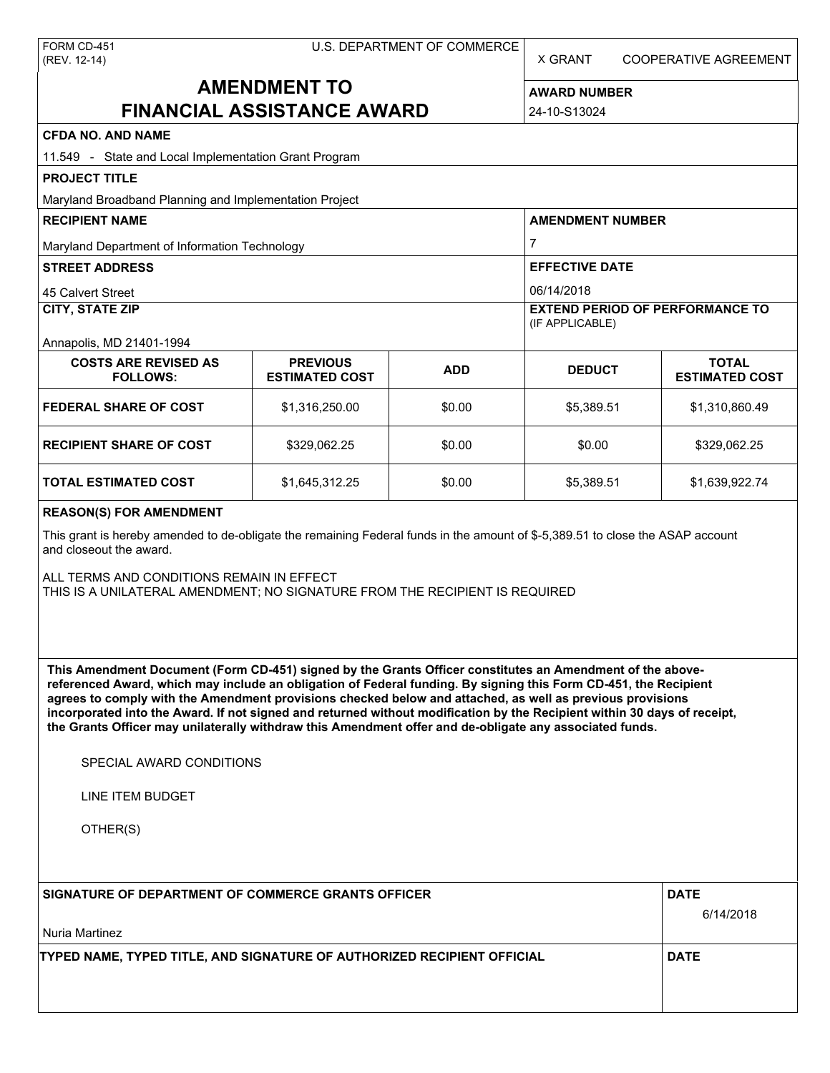X GRANT COOPERATIVE AGREEMENT

# **AMENDMENT TO FINANCIAL ASSISTANCE AWARD**

**AWARD NUMBER** 24-10-S13024

| <b>CFDA NO. AND NAME</b>                                                                                                                                                                                                                                                                                                                                                                                                                                                                                                                                                                                                                             |                                          |            |                                        |                                       |  |  |  |
|------------------------------------------------------------------------------------------------------------------------------------------------------------------------------------------------------------------------------------------------------------------------------------------------------------------------------------------------------------------------------------------------------------------------------------------------------------------------------------------------------------------------------------------------------------------------------------------------------------------------------------------------------|------------------------------------------|------------|----------------------------------------|---------------------------------------|--|--|--|
| 11.549 - State and Local Implementation Grant Program                                                                                                                                                                                                                                                                                                                                                                                                                                                                                                                                                                                                |                                          |            |                                        |                                       |  |  |  |
| <b>PROJECT TITLE</b>                                                                                                                                                                                                                                                                                                                                                                                                                                                                                                                                                                                                                                 |                                          |            |                                        |                                       |  |  |  |
| Maryland Broadband Planning and Implementation Project                                                                                                                                                                                                                                                                                                                                                                                                                                                                                                                                                                                               |                                          |            |                                        |                                       |  |  |  |
| <b>RECIPIENT NAME</b>                                                                                                                                                                                                                                                                                                                                                                                                                                                                                                                                                                                                                                |                                          |            | <b>AMENDMENT NUMBER</b>                |                                       |  |  |  |
| Maryland Department of Information Technology                                                                                                                                                                                                                                                                                                                                                                                                                                                                                                                                                                                                        |                                          |            | 7                                      |                                       |  |  |  |
| <b>STREET ADDRESS</b>                                                                                                                                                                                                                                                                                                                                                                                                                                                                                                                                                                                                                                |                                          |            | <b>EFFECTIVE DATE</b>                  |                                       |  |  |  |
| 45 Calvert Street                                                                                                                                                                                                                                                                                                                                                                                                                                                                                                                                                                                                                                    |                                          |            | 06/14/2018                             |                                       |  |  |  |
| <b>CITY, STATE ZIP</b>                                                                                                                                                                                                                                                                                                                                                                                                                                                                                                                                                                                                                               |                                          |            | <b>EXTEND PERIOD OF PERFORMANCE TO</b> |                                       |  |  |  |
| Annapolis, MD 21401-1994                                                                                                                                                                                                                                                                                                                                                                                                                                                                                                                                                                                                                             |                                          |            | (IF APPLICABLE)                        |                                       |  |  |  |
| <b>COSTS ARE REVISED AS</b><br><b>FOLLOWS:</b>                                                                                                                                                                                                                                                                                                                                                                                                                                                                                                                                                                                                       | <b>PREVIOUS</b><br><b>ESTIMATED COST</b> | <b>ADD</b> | <b>DEDUCT</b>                          | <b>TOTAL</b><br><b>ESTIMATED COST</b> |  |  |  |
| <b>FEDERAL SHARE OF COST</b>                                                                                                                                                                                                                                                                                                                                                                                                                                                                                                                                                                                                                         | \$1,316,250.00                           | \$0.00     | \$5,389.51                             | \$1,310,860.49                        |  |  |  |
| <b>RECIPIENT SHARE OF COST</b>                                                                                                                                                                                                                                                                                                                                                                                                                                                                                                                                                                                                                       | \$329,062.25                             | \$0.00     | \$0.00                                 | \$329,062.25                          |  |  |  |
| <b>TOTAL ESTIMATED COST</b>                                                                                                                                                                                                                                                                                                                                                                                                                                                                                                                                                                                                                          | \$1,645,312.25                           | \$0.00     | \$5,389.51                             | \$1,639,922.74                        |  |  |  |
| <b>REASON(S) FOR AMENDMENT</b>                                                                                                                                                                                                                                                                                                                                                                                                                                                                                                                                                                                                                       |                                          |            |                                        |                                       |  |  |  |
| This grant is hereby amended to de-obligate the remaining Federal funds in the amount of \$-5,389.51 to close the ASAP account<br>and closeout the award.                                                                                                                                                                                                                                                                                                                                                                                                                                                                                            |                                          |            |                                        |                                       |  |  |  |
| ALL TERMS AND CONDITIONS REMAIN IN EFFECT<br>THIS IS A UNILATERAL AMENDMENT; NO SIGNATURE FROM THE RECIPIENT IS REQUIRED                                                                                                                                                                                                                                                                                                                                                                                                                                                                                                                             |                                          |            |                                        |                                       |  |  |  |
| This Amendment Document (Form CD-451) signed by the Grants Officer constitutes an Amendment of the above-<br>referenced Award, which may include an obligation of Federal funding. By signing this Form CD-451, the Recipient<br>agrees to comply with the Amendment provisions checked below and attached, as well as previous provisions<br>incorporated into the Award. If not signed and returned without modification by the Recipient within 30 days of receipt,<br>the Grants Officer may unilaterally withdraw this Amendment offer and de-obligate any associated funds.<br>SPECIAL AWARD CONDITIONS<br><b>LINE ITEM BUDGET</b><br>OTHER(S) |                                          |            |                                        |                                       |  |  |  |
|                                                                                                                                                                                                                                                                                                                                                                                                                                                                                                                                                                                                                                                      |                                          |            |                                        |                                       |  |  |  |
| SIGNATURE OF DEPARTMENT OF COMMERCE GRANTS OFFICER                                                                                                                                                                                                                                                                                                                                                                                                                                                                                                                                                                                                   | <b>DATE</b><br>6/14/2018                 |            |                                        |                                       |  |  |  |
| <b>Nuria Martinez</b>                                                                                                                                                                                                                                                                                                                                                                                                                                                                                                                                                                                                                                |                                          |            |                                        |                                       |  |  |  |
| TYPED NAME, TYPED TITLE, AND SIGNATURE OF AUTHORIZED RECIPIENT OFFICIAL                                                                                                                                                                                                                                                                                                                                                                                                                                                                                                                                                                              | <b>DATE</b>                              |            |                                        |                                       |  |  |  |